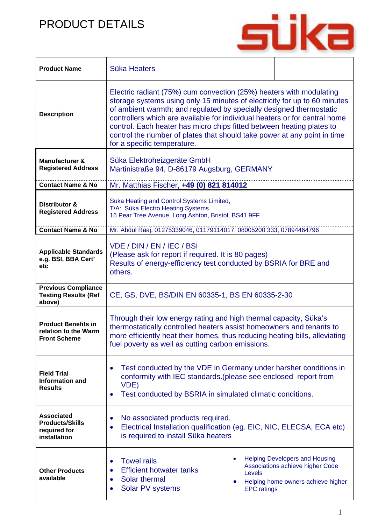## PRODUCT DETAILS



| <b>Product Name</b>                                                         | Süka Heaters                                                                                                                                                                                                                                                                                                                                                                                                                                                                              |                              |                                                                                                                 |
|-----------------------------------------------------------------------------|-------------------------------------------------------------------------------------------------------------------------------------------------------------------------------------------------------------------------------------------------------------------------------------------------------------------------------------------------------------------------------------------------------------------------------------------------------------------------------------------|------------------------------|-----------------------------------------------------------------------------------------------------------------|
| <b>Description</b>                                                          | Electric radiant (75%) cum convection (25%) heaters with modulating<br>storage systems using only 15 minutes of electricity for up to 60 minutes<br>of ambient warmth; and regulated by specially designed thermostatic<br>controllers which are available for individual heaters or for central home<br>control. Each heater has micro chips fitted between heating plates to<br>control the number of plates that should take power at any point in time<br>for a specific temperature. |                              |                                                                                                                 |
| <b>Manufacturer &amp;</b><br><b>Registered Address</b>                      | Süka Elektroheizgeräte GmbH<br>Martinistraße 94, D-86179 Augsburg, GERMANY                                                                                                                                                                                                                                                                                                                                                                                                                |                              |                                                                                                                 |
| <b>Contact Name &amp; No</b>                                                | Mr. Matthias Fischer, +49 (0) 821 814012                                                                                                                                                                                                                                                                                                                                                                                                                                                  |                              |                                                                                                                 |
| Distributor &<br><b>Registered Address</b>                                  | Suka Heating and Control Systems Limited,<br>T/A: Süka Electro Heating Systems<br>16 Pear Tree Avenue, Long Ashton, Bristol, BS41 9FF                                                                                                                                                                                                                                                                                                                                                     |                              |                                                                                                                 |
| <b>Contact Name &amp; No</b>                                                | Mr. Abdul Raaj, 01275339046, 01179114017, 08005200 333, 07894464796                                                                                                                                                                                                                                                                                                                                                                                                                       |                              |                                                                                                                 |
| <b>Applicable Standards</b><br>e.g. BSI, BBA Cert'<br>etc                   | VDE / DIN / EN / IEC / BSI<br>(Please ask for report if required. It is 80 pages)<br>Results of energy-efficiency test conducted by BSRIA for BRE and<br>others.                                                                                                                                                                                                                                                                                                                          |                              |                                                                                                                 |
| <b>Previous Compliance</b><br><b>Testing Results (Ref</b><br>above)         | CE, GS, DVE, BS/DIN EN 60335-1, BS EN 60335-2-30                                                                                                                                                                                                                                                                                                                                                                                                                                          |                              |                                                                                                                 |
| <b>Product Benefits in</b><br>relation to the Warm<br><b>Front Scheme</b>   | Through their low energy rating and high thermal capacity, Süka's<br>thermostatically controlled heaters assist homeowners and tenants to<br>more efficiently heat their homes, thus reducing heating bills, alleviating<br>fuel poverty as well as cutting carbon emissions.                                                                                                                                                                                                             |                              |                                                                                                                 |
| <b>Field Trial</b><br><b>Information and</b><br><b>Results</b>              | Test conducted by the VDE in Germany under harsher conditions in<br>conformity with IEC standards. (please see enclosed report from<br>VDE)<br>Test conducted by BSRIA in simulated climatic conditions.                                                                                                                                                                                                                                                                                  |                              |                                                                                                                 |
| <b>Associated</b><br><b>Products/Skills</b><br>required for<br>installation | No associated products required.<br>Electrical Installation qualification (eg. EIC, NIC, ELECSA, ECA etc)<br>$\bullet$<br>is required to install Süka heaters                                                                                                                                                                                                                                                                                                                             |                              |                                                                                                                 |
| <b>Other Products</b><br>available                                          | <b>Towel rails</b><br>$\bullet$<br><b>Efficient hotwater tanks</b><br>Solar thermal<br>Solar PV systems                                                                                                                                                                                                                                                                                                                                                                                   | Levels<br><b>EPC</b> ratings | <b>Helping Developers and Housing</b><br>Associations achieve higher Code<br>Helping home owners achieve higher |